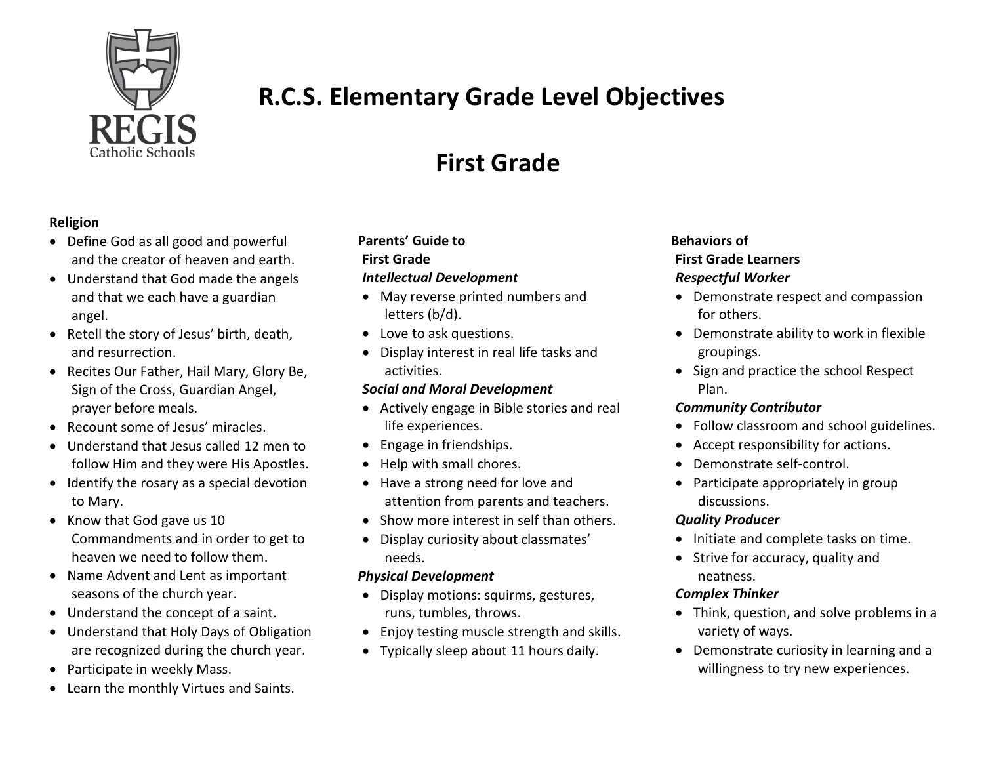

# **R.C.S. Elementary Grade Level Objectives**

# **First Grade**

## **Religion**

- Define God as all good and powerful and the creator of heaven and earth.
- Understand that God made the angels and that we each have a guardian angel.
- Retell the story of Jesus' birth, death, and resurrection.
- Recites Our Father, Hail Mary, Glory Be, Sign of the Cross, Guardian Angel, prayer before meals.
- Recount some of Jesus' miracles.
- Understand that Jesus called 12 men to follow Him and they were His Apostles.
- Identify the rosary as a special devotion to Mary.
- Know that God gave us 10 Commandments and in order to get to heaven we need to follow them.
- Name Advent and Lent as important seasons of the church year.
- Understand the concept of a saint.
- Understand that Holy Days of Obligation are recognized during the church year.
- Participate in weekly Mass.
- Learn the monthly Virtues and Saints.

#### **Parents' Guide to First Grade** *Intellectual Development*

- May reverse printed numbers and letters (b/d).
- Love to ask questions.
- Display interest in real life tasks and activities.

## *Social and Moral Development*

- Actively engage in Bible stories and real life experiences.
- Engage in friendships.
- Help with small chores.
- Have a strong need for love and attention from parents and teachers.
- Show more interest in self than others.
- Display curiosity about classmates' needs.

#### *Physical Development*

- Display motions: squirms, gestures, runs, tumbles, throws.
- Enjoy testing muscle strength and skills.
- Typically sleep about 11 hours daily.

# **Behaviors of First Grade Learners** *Respectful Worker*

- Demonstrate respect and compassion for others.
- Demonstrate ability to work in flexible groupings.
- Sign and practice the school Respect Plan.

# *Community Contributor*

- Follow classroom and school guidelines.
- Accept responsibility for actions.
- Demonstrate self-control.
- Participate appropriately in group discussions.

## *Quality Producer*

- Initiate and complete tasks on time.
- Strive for accuracy, quality and neatness.

## *Complex Thinker*

- Think, question, and solve problems in a variety of ways.
- Demonstrate curiosity in learning and a willingness to try new experiences.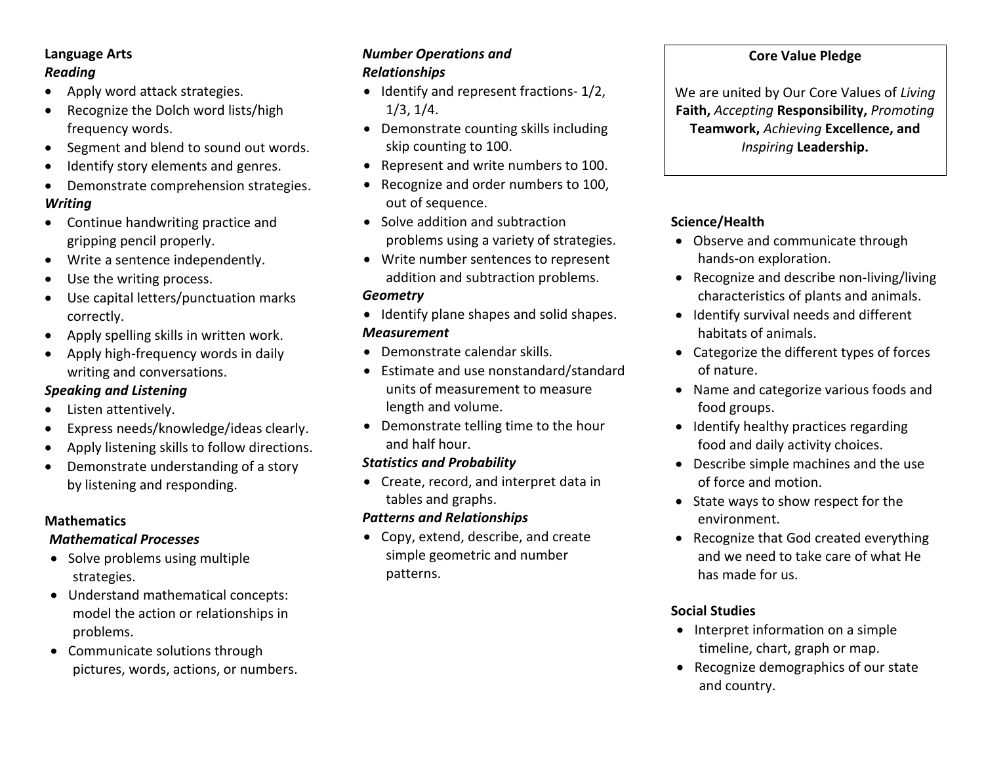## **Language Arts** *Reading*

- Apply word attack strategies.
- Recognize the Dolch word lists/high frequency words.
- Segment and blend to sound out words.
- Identify story elements and genres.
- Demonstrate comprehension strategies.

## *Writing*

- Continue handwriting practice and gripping pencil properly.
- Write a sentence independently.
- Use the writing process.
- Use capital letters/punctuation marks correctly.
- Apply spelling skills in written work.
- Apply high-frequency words in daily writing and conversations.

# *Speaking and Listening*

- Listen attentively.
- Express needs/knowledge/ideas clearly.
- Apply listening skills to follow directions.
- Demonstrate understanding of a story by listening and responding.

# **Mathematics**

## *Mathematical Processes*

- Solve problems using multiple strategies.
- Understand mathematical concepts: model the action or relationships in problems.
- Communicate solutions through pictures, words, actions, or numbers.

#### *Number Operations and Relationships*

- $\bullet$  Identify and represent fractions-  $1/2$ , 1/3, 1/4.
- Demonstrate counting skills including skip counting to 100.
- Represent and write numbers to 100.
- Recognize and order numbers to 100, out of sequence.
- Solve addition and subtraction problems using a variety of strategies.
- Write number sentences to represent addition and subtraction problems.

## *Geometry*

- Identify plane shapes and solid shapes. *Measurement*
- Demonstrate calendar skills.
- Estimate and use nonstandard/standard units of measurement to measure length and volume.
- Demonstrate telling time to the hour and half hour.

# *Statistics and Probability*

 Create, record, and interpret data in tables and graphs.

# *Patterns and Relationships*

 Copy, extend, describe, and create simple geometric and number patterns.

## **Core Value Pledge**

We are united by Our Core Values of *Living*  **Faith,** *Accepting* **Responsibility,** *Promoting* **Teamwork,** *Achieving* **Excellence, and**  *Inspiring* **Leadership.**

# **Science/Health**

- Observe and communicate through hands-on exploration.
- Recognize and describe non-living/living characteristics of plants and animals.
- Identify survival needs and different habitats of animals.
- Categorize the different types of forces of nature.
- Name and categorize various foods and food groups.
- Identify healthy practices regarding food and daily activity choices.
- Describe simple machines and the use of force and motion.
- State ways to show respect for the environment.
- Recognize that God created everything and we need to take care of what He has made for us.

# **Social Studies**

- Interpret information on a simple timeline, chart, graph or map.
- Recognize demographics of our state and country.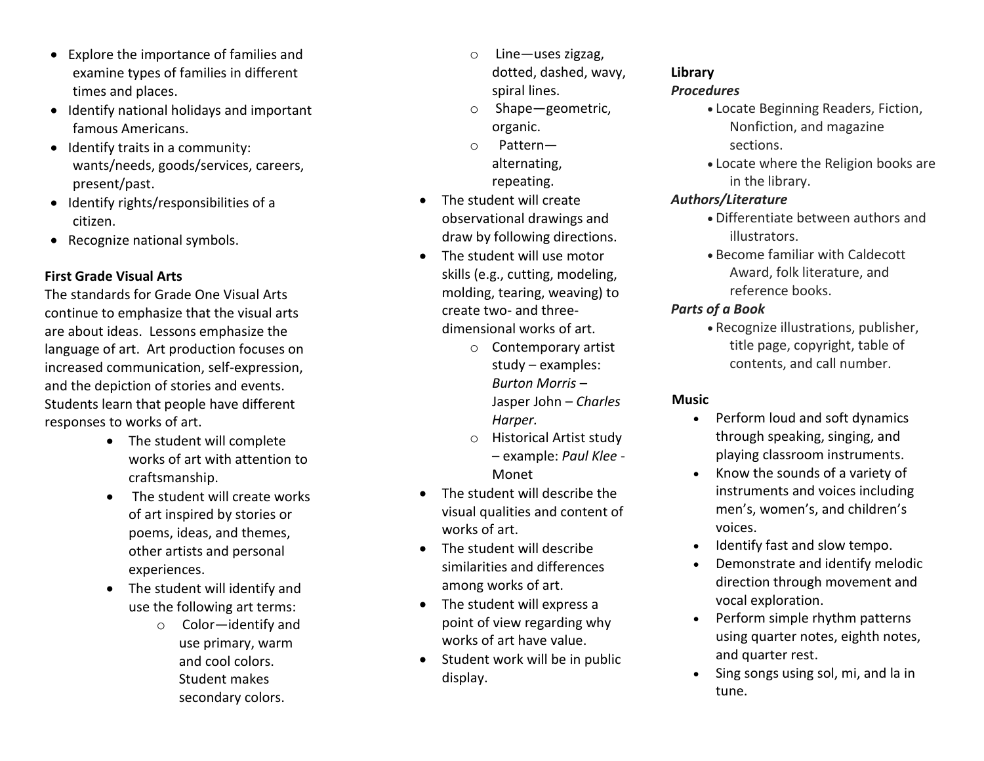- Explore the importance of families and examine types of families in different times and places.
- Identify national holidays and important famous Americans.
- $\bullet$  Identify traits in a community: wants/needs, goods/services, careers, present/past.
- Identify rights/responsibilities of a citizen.
- Recognize national symbols.

## **First Grade Visual Arts**

The standards for Grade One Visual Arts continue to emphasize that the visual arts are about ideas. Lessons emphasize the language of art. Art production focuses on increased communication, self-expression, and the depiction of stories and events. Students learn that people have different responses to works of art.

- The student will complete works of art with attention to craftsmanship.
- The student will create works of art inspired by stories or poems, ideas, and themes, other artists and personal experiences.
- The student will identify and use the following art terms:
	- o Color—identify and use primary, warm and cool colors. Student makes secondary colors.
- o Line—uses zigzag, dotted, dashed, wavy, spiral lines.
- o Shape—geometric, organic.
- o Pattern alternating, repeating.
- The student will create observational drawings and draw by following directions.
- The student will use motor skills (e.g., cutting, modeling, molding, tearing, weaving) to create two- and threedimensional works of art.
	- o Contemporary artist study – examples: *Burton Morris* – Jasper John – *Charles Harper.*
	- o Historical Artist study – example: *Paul Klee* - Monet
- The student will describe the visual qualities and content of works of art.
- The student will describe similarities and differences among works of art.
- The student will express a point of view regarding why works of art have value.
- Student work will be in public display.

## **Library**

## *Procedures*

- Locate Beginning Readers, Fiction, Nonfiction, and magazine sections.
- Locate where the Religion books are in the library.

## *Authors/Literature*

- Differentiate between authors and illustrators.
- Become familiar with Caldecott Award, folk literature, and reference books.

## *Parts of a Book*

 Recognize illustrations, publisher, title page, copyright, table of contents, and call number.

## **Music**

- Perform loud and soft dynamics through speaking, singing, and playing classroom instruments.
- Know the sounds of a variety of instruments and voices including men's, women's, and children's voices.
- Identify fast and slow tempo.
- Demonstrate and identify melodic direction through movement and vocal exploration.
- Perform simple rhythm patterns using quarter notes, eighth notes, and quarter rest.
- Sing songs using sol, mi, and la in tune.